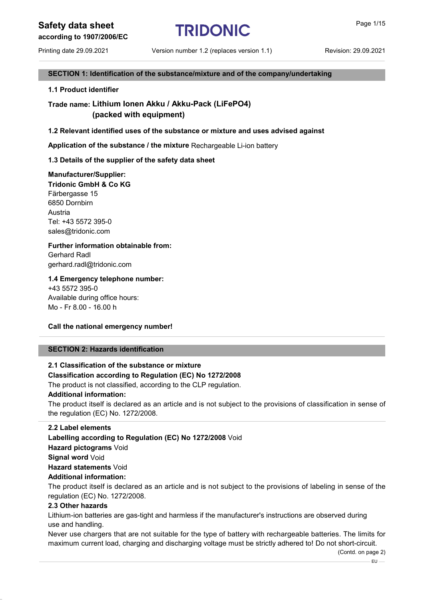Printing date 29.09.2021 Version number 1.2 (replaces version 1.1) Revision: 29.09.2021

### SECTION 1: Identification of the substance/mixture and of the company/undertaking

1.1 Product identifier

### Trade name: Lithium Ionen Akku / Akku-Pack (LiFePO4) (packed with equipment)

### 1.2 Relevant identified uses of the substance or mixture and uses advised against

Application of the substance / the mixture Rechargeable Li-ion battery

### 1.3 Details of the supplier of the safety data sheet

### Manufacturer/Supplier:

Tridonic GmbH & Co KG Färbergasse 15 6850 Dornbirn Austria Tel: +43 5572 395-0 sales@tridonic.com

### Further information obtainable from:

Gerhard Radl gerhard.radl@tridonic.com

### 1.4 Emergency telephone number:

+43 5572 395-0 Available during office hours: Mo - Fr 8.00 - 16.00 h

### Call the national emergency number!

### SECTION 2: Hazards identification

### 2.1 Classification of the substance or mixture Classification according to Regulation (EC) No 1272/2008 The product is not classified, according to the CLP regulation.

### Additional information:

The product itself is declared as an article and is not subject to the provisions of classification in sense of the regulation (EC) No. 1272/2008.

### 2.2 Label elements

Labelling according to Regulation (EC) No 1272/2008 Void Hazard pictograms Void Signal word Void Hazard statements Void

### Additional information:

The product itself is declared as an article and is not subject to the provisions of labeling in sense of the regulation (EC) No. 1272/2008.

### 2.3 Other hazards

Lithium-ion batteries are gas-tight and harmless if the manufacturer's instructions are observed during use and handling.

Never use chargers that are not suitable for the type of battery with rechargeable batteries. The limits for maximum current load, charging and discharging voltage must be strictly adhered to! Do not short-circuit.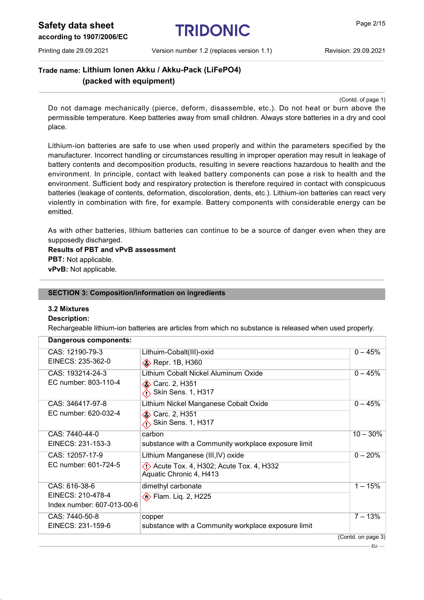Safety data sheet  $TRIDONIC$  Page 2/15

Printing date 29.09.2021 Version number 1.2 (replaces version 1.1) Revision: 29.09.2021

Trade name: Lithium Ionen Akku / Akku-Pack (LiFePO4) (packed with equipment)

(Contd. of page 1)

Do not damage mechanically (pierce, deform, disassemble, etc.). Do not heat or burn above the permissible temperature. Keep batteries away from small children. Always store batteries in a dry and cool place.

Lithium-ion batteries are safe to use when used properly and within the parameters specified by the manufacturer. Incorrect handling or circumstances resulting in improper operation may result in leakage of battery contents and decomposition products, resulting in severe reactions hazardous to health and the environment. In principle, contact with leaked battery components can pose a risk to health and the environment. Sufficient body and respiratory protection is therefore required in contact with conspicuous batteries (leakage of contents, deformation, discoloration, dents, etc.). Lithium-ion batteries can react very violently in combination with fire, for example. Battery components with considerable energy can be emitted.

As with other batteries, lithium batteries can continue to be a source of danger even when they are supposedly discharged.

Results of PBT and vPvB assessment PBT: Not applicable. vPvB: Not applicable.

#### SECTION 3: Composition/information on ingredients

### 3.2 Mixtures

### Description:

Rechargeable lithium-ion batteries are articles from which no substance is released when used properly.

| Dangerous components:      |                                                                               |                    |
|----------------------------|-------------------------------------------------------------------------------|--------------------|
| CAS: 12190-79-3            | Lithuim-Cobalt(III)-oxid                                                      | $0 - 45%$          |
| EINECS: 235-362-0          | <b>◆</b> Repr. 1B, H360                                                       |                    |
| CAS: 193214-24-3           | Lithium Cobalt Nickel Aluminum Oxide                                          | $0 - 45%$          |
| EC number: 803-110-4       | <b>◆ Carc. 2, H351</b><br>Skin Sens. 1, H317                                  |                    |
| CAS: 346417-97-8           | Lithium Nickel Manganese Cobalt Oxide                                         | $0 - 45%$          |
| EC number: 620-032-4       | <b>♦ Carc. 2, H351</b><br>Skin Sens. 1, H317                                  |                    |
| CAS: 7440-44-0             | carbon                                                                        | $10 - 30%$         |
| EINECS: 231-153-3          | substance with a Community workplace exposure limit                           |                    |
| CAS: 12057-17-9            | Lithium Manganese (III, IV) oxide                                             | $0 - 20%$          |
| EC number: 601-724-5       | $\langle$ : Acute Tox. 4, H302; Acute Tox. 4, H332<br>Aquatic Chronic 4, H413 |                    |
| CAS: 616-38-6              | dimethyl carbonate                                                            | $1 - 15%$          |
| EINECS: 210-478-4          | <b>Exam.</b> Liq. 2, H225                                                     |                    |
| Index number: 607-013-00-6 |                                                                               |                    |
| CAS: 7440-50-8             | copper                                                                        | $7 - 13%$          |
| EINECS: 231-159-6          | substance with a Community workplace exposure limit                           |                    |
|                            |                                                                               | (Contd. on page 3) |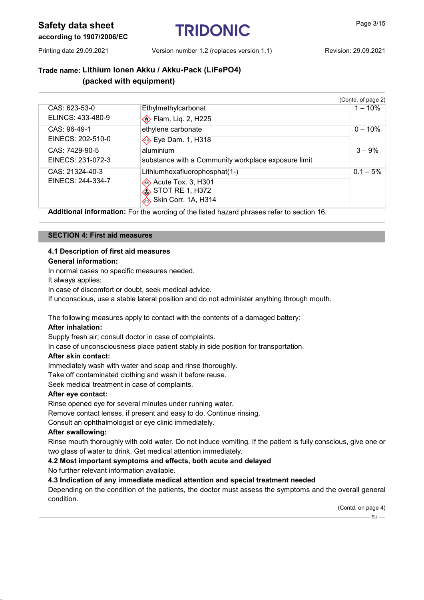Safety data sheet TRIDONIC Page 3/15

Printing date 29.09.2021 Version number 1.2 (replaces version 1.1) Revision: 29.09.2021

## Trade name: Lithium Ionen Akku / Akku-Pack (LiFePO4) (packed with equipment)

|                   |                                                     | (Contd. of page 2) |
|-------------------|-----------------------------------------------------|--------------------|
| CAS: 623-53-0     | Ethylmethylcarbonat                                 | $1 - 10%$          |
| ELINCS: 433-480-9 | <b>Elam.</b> Liq. 2, H225                           |                    |
| CAS: 96-49-1      | ethylene carbonate                                  | $0 - 10%$          |
| EINECS: 202-510-0 | → Eye Dam. 1, H318                                  |                    |
| CAS: 7429-90-5    | aluminium                                           | $3 - 9%$           |
| EINECS: 231-072-3 | substance with a Community workplace exposure limit |                    |
| CAS: 21324-40-3   | Lithiumhexafluorophosphat(1-)                       | $0.1 - 5\%$        |
| EINECS: 244-334-7 | Acute Tox. 3, H301                                  |                    |
|                   | <b>STOT RE 1, H372</b>                              |                    |
|                   | Skin Corr. 1A, H314                                 |                    |

Additional information: For the wording of the listed hazard phrases refer to section 16.

### SECTION 4: First aid measures

### 4.1 Description of first aid measures General information:

In normal cases no specific measures needed.

It always applies:

In case of discomfort or doubt, seek medical advice.

If unconscious, use a stable lateral position and do not administer anything through mouth.

The following measures apply to contact with the contents of a damaged battery:

### After inhalation:

Supply fresh air; consult doctor in case of complaints.

In case of unconsciousness place patient stably in side position for transportation.

### After skin contact:

Immediately wash with water and soap and rinse thoroughly.

Take off contaminated clothing and wash it before reuse.

Seek medical treatment in case of complaints.

### After eye contact:

Rinse opened eye for several minutes under running water.

Remove contact lenses, if present and easy to do. Continue rinsing.

Consult an ophthalmologist or eye clinic immediately.

### After swallowing:

Rinse mouth thoroughly with cold water. Do not induce vomiting. If the patient is fully conscious, give one or two glass of water to drink. Get medical attention immediately.

4.2 Most important symptoms and effects, both acute and delayed

No further relevant information available.

### 4.3 Indication of any immediate medical attention and special treatment needed

Depending on the condition of the patients, the doctor must assess the symptoms and the overall general condition.

(Contd. on page 4)

 $EU$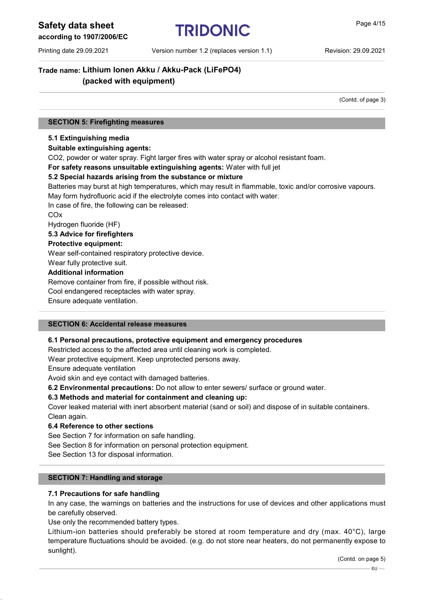## Safety data sheet **TRIDONIC Page 4/15**

### according to 1907/2006/EC

### Trade name: Lithium Ionen Akku / Akku-Pack (LiFePO4) (packed with equipment)

(Contd. of page 3)

### SECTION 5: Firefighting measures

### 5.1 Extinguishing media

### Suitable extinguishing agents:

CO2, powder or water spray. Fight larger fires with water spray or alcohol resistant foam.

For safety reasons unsuitable extinguishing agents: Water with full jet

### 5.2 Special hazards arising from the substance or mixture

Batteries may burst at high temperatures, which may result in flammable, toxic and/or corrosive vapours. May form hydrofluoric acid if the electrolyte comes into contact with water.

In case of fire, the following can be released:

COx

Hydrogen fluoride (HF)

#### 5.3 Advice for firefighters

Protective equipment:

Wear self-contained respiratory protective device.

Wear fully protective suit.

#### Additional information

Remove container from fire, if possible without risk. Cool endangered receptacles with water spray.

Ensure adequate ventilation.

### SECTION 6: Accidental release measures

### 6.1 Personal precautions, protective equipment and emergency procedures

Restricted access to the affected area until cleaning work is completed.

Wear protective equipment. Keep unprotected persons away.

Ensure adequate ventilation

Avoid skin and eye contact with damaged batteries.

6.2 Environmental precautions: Do not allow to enter sewers/ surface or ground water.

### 6.3 Methods and material for containment and cleaning up:

Cover leaked material with inert absorbent material (sand or soil) and dispose of in suitable containers. Clean again.

### 6.4 Reference to other sections

See Section 7 for information on safe handling.

See Section 8 for information on personal protection equipment.

See Section 13 for disposal information.

### SECTION 7: Handling and storage

### 7.1 Precautions for safe handling

In any case, the warnings on batteries and the instructions for use of devices and other applications must be carefully observed.

Use only the recommended battery types.

Lithium-ion batteries should preferably be stored at room temperature and dry (max. 40°C), large temperature fluctuations should be avoided. (e.g. do not store near heaters, do not permanently expose to sunlight).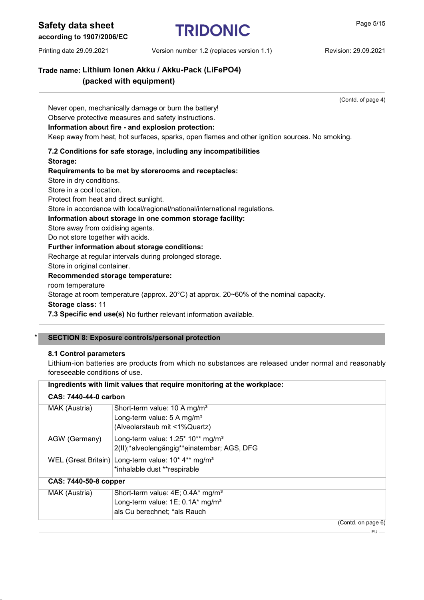Safety data sheet TRIDONIC Page 5/15

Printing date 29.09.2021 Version number 1.2 (replaces version 1.1) Revision: 29.09.2021

Trade name: Lithium Ionen Akku / Akku-Pack (LiFePO4) (packed with equipment)

(Contd. of page 4)

Never open, mechanically damage or burn the battery!

Observe protective measures and safety instructions.

### Information about fire - and explosion protection:

Keep away from heat, hot surfaces, sparks, open flames and other ignition sources. No smoking.

### 7.2 Conditions for safe storage, including any incompatibilities Storage:

### Requirements to be met by storerooms and receptacles:

Store in dry conditions.

Store in a cool location.

Protect from heat and direct sunlight.

Store in accordance with local/regional/national/international regulations.

### Information about storage in one common storage facility:

Store away from oxidising agents.

Do not store together with acids.

### Further information about storage conditions:

Recharge at regular intervals during prolonged storage.

Store in original container.

### Recommended storage temperature:

room temperature

Storage at room temperature (approx. 20°C) at approx. 20~60% of the nominal capacity.

Storage class: 11

7.3 Specific end use(s) No further relevant information available.

### SECTION 8: Exposure controls/personal protection

### 8.1 Control parameters

Lithium-ion batteries are products from which no substances are released under normal and reasonably foreseeable conditions of use.

| Ingredients with limit values that require monitoring at the workplace: |                                                                                                                                  |  |
|-------------------------------------------------------------------------|----------------------------------------------------------------------------------------------------------------------------------|--|
| CAS: 7440-44-0 carbon                                                   |                                                                                                                                  |  |
| MAK (Austria)                                                           | Short-term value: 10 A mg/m <sup>3</sup><br>Long-term value: $5 \text{ A} \text{ mg/m}^3$<br>(Alveolarstaub mit <1%Quartz)       |  |
| AGW (Germany)                                                           | Long-term value: $1.25^*$ 10 <sup>**</sup> mg/m <sup>3</sup><br>2(II);*alveolengängig**einatembar; AGS, DFG                      |  |
|                                                                         | WEL (Great Britain) Long-term value: 10* 4** mg/m <sup>3</sup><br>*inhalable dust **respirable                                   |  |
| CAS: 7440-50-8 copper                                                   |                                                                                                                                  |  |
| MAK (Austria)                                                           | Short-term value: 4E; 0.4A* mg/m <sup>3</sup><br>Long-term value: $1E$ ; 0.1A* mg/m <sup>3</sup><br>als Cu berechnet; *als Rauch |  |
|                                                                         | (Contd. on page 6)                                                                                                               |  |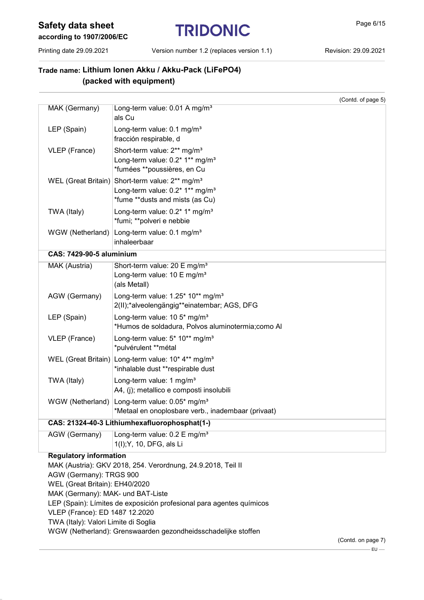# Safety data sheet<br>
FRIDONIC<br>
Page 6/15

Printing date 29.09.2021 Version number 1.2 (replaces version 1.1) Revision: 29.09.2021

## Trade name: Lithium Ionen Akku / Akku-Pack (LiFePO4) (packed with equipment)

|                                                              |                                                                                                                                   | (Contd. of page 5) |
|--------------------------------------------------------------|-----------------------------------------------------------------------------------------------------------------------------------|--------------------|
| MAK (Germany)                                                | Long-term value: 0.01 A mg/m <sup>3</sup><br>als Cu                                                                               |                    |
| LEP (Spain)                                                  | Long-term value: 0.1 mg/m <sup>3</sup><br>fracción respirable, d                                                                  |                    |
| VLEP (France)                                                | Short-term value: 2 <sup>**</sup> mg/m <sup>3</sup><br>Long-term value: 0.2* 1** mg/m <sup>3</sup><br>*fumées **poussières, en Cu |                    |
| <b>WEL</b> (Great Britain)                                   | Short-term value: 2** mg/m <sup>3</sup><br>Long-term value: 0.2* 1** mg/m <sup>3</sup><br>*fume **dusts and mists (as Cu)         |                    |
| TWA (Italy)                                                  | Long-term value: 0.2* 1* mg/m <sup>3</sup><br>*fumi; **polveri e nebbie                                                           |                    |
| WGW (Netherland)                                             | Long-term value: 0.1 mg/m <sup>3</sup><br>inhaleerbaar                                                                            |                    |
| <b>CAS: 7429-90-5 aluminium</b>                              |                                                                                                                                   |                    |
| MAK (Austria)                                                | Short-term value: 20 E mg/m <sup>3</sup><br>Long-term value: 10 E mg/m <sup>3</sup><br>(als Metall)                               |                    |
| AGW (Germany)                                                | Long-term value: 1.25* 10** mg/m <sup>3</sup><br>2(II);*alveolengängig**einatembar; AGS, DFG                                      |                    |
| LEP (Spain)                                                  | Long-term value: $10.5*$ mg/m <sup>3</sup><br>*Humos de soldadura, Polvos aluminotermia; como Al                                  |                    |
| VLEP (France)                                                | Long-term value: 5* 10** mg/m <sup>3</sup><br>*pulvérulent **métal                                                                |                    |
| <b>WEL</b> (Great Britain)                                   | Long-term value: $10* 4**$ mg/m <sup>3</sup><br>*inhalable dust **respirable dust                                                 |                    |
| TWA (Italy)                                                  | Long-term value: 1 mg/m <sup>3</sup><br>A4, (j); metallico e composti insolubili                                                  |                    |
| WGW (Netherland)                                             | Long-term value: 0.05* mg/m <sup>3</sup><br>*Metaal en onoplosbare verb., inadembaar (privaat)                                    |                    |
|                                                              | CAS: 21324-40-3 Lithiumhexafluorophosphat(1-)                                                                                     |                    |
| AGW (Germany)                                                | Long-term value: 0.2 E mg/m <sup>3</sup><br>1(I); Y, 10, DFG, als Li                                                              |                    |
| <b>Regulatory information</b>                                |                                                                                                                                   |                    |
| MAK (Austria): GKV 2018, 254. Verordnung, 24.9.2018, Teil II |                                                                                                                                   |                    |
| AGW (Germany): TRGS 900                                      |                                                                                                                                   |                    |
| WEL (Great Britain): EH40/2020                               |                                                                                                                                   |                    |
| MAK (Germany): MAK- und BAT-Liste                            |                                                                                                                                   |                    |

LEP (Spain): Límites de exposición profesional para agentes químicos

VLEP (France): ED 1487 12.2020

TWA (Italy): Valori Limite di Soglia

WGW (Netherland): Grenswaarden gezondheidsschadelijke stoffen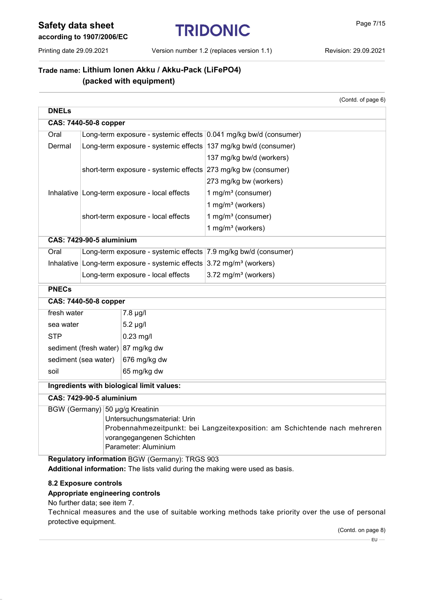# Safety data sheet<br>
TRIDONIC<br>
Page 7/15

Printing date 29.09.2021 Version number 1.2 (replaces version 1.1) Revision: 29.09.2021

(Contd. of page 6)

### Trade name: Lithium Ionen Akku / Akku-Pack (LiFePO4) (packed with equipment)

| <b>DNELs</b>                         |                                                                                                         |                                                                                     |                                                                 |  |
|--------------------------------------|---------------------------------------------------------------------------------------------------------|-------------------------------------------------------------------------------------|-----------------------------------------------------------------|--|
| <b>CAS: 7440-50-8 copper</b>         |                                                                                                         |                                                                                     |                                                                 |  |
| Oral                                 | Long-term exposure - systemic effects 0.041 mg/kg bw/d (consumer)                                       |                                                                                     |                                                                 |  |
| Dermal                               |                                                                                                         |                                                                                     | Long-term exposure - systemic effects 137 mg/kg bw/d (consumer) |  |
|                                      |                                                                                                         |                                                                                     | 137 mg/kg bw/d (workers)                                        |  |
|                                      |                                                                                                         |                                                                                     | short-term exposure - systemic effects 273 mg/kg bw (consumer)  |  |
|                                      |                                                                                                         |                                                                                     | 273 mg/kg bw (workers)                                          |  |
|                                      |                                                                                                         | Inhalative Long-term exposure - local effects                                       | 1 mg/m <sup>3</sup> (consumer)                                  |  |
|                                      |                                                                                                         |                                                                                     | 1 mg/m $3$ (workers)                                            |  |
|                                      |                                                                                                         | short-term exposure - local effects                                                 | 1 mg/m <sup>3</sup> (consumer)                                  |  |
|                                      |                                                                                                         |                                                                                     | 1 mg/m <sup>3</sup> (workers)                                   |  |
|                                      | <b>CAS: 7429-90-5 aluminium</b>                                                                         |                                                                                     |                                                                 |  |
| Oral                                 |                                                                                                         |                                                                                     | Long-term exposure - systemic effects 7.9 mg/kg bw/d (consumer) |  |
|                                      |                                                                                                         | Inhalative Long-term exposure - systemic effects $3.72$ mg/m <sup>3</sup> (workers) |                                                                 |  |
|                                      |                                                                                                         | Long-term exposure - local effects                                                  | 3.72 mg/m <sup>3</sup> (workers)                                |  |
| <b>PNECs</b>                         |                                                                                                         |                                                                                     |                                                                 |  |
|                                      | CAS: 7440-50-8 copper                                                                                   |                                                                                     |                                                                 |  |
| fresh water<br>$7.8 \mu g/l$         |                                                                                                         |                                                                                     |                                                                 |  |
| $5.2 \mu g/l$<br>sea water           |                                                                                                         |                                                                                     |                                                                 |  |
| <b>STP</b><br>$0.23$ mg/l            |                                                                                                         |                                                                                     |                                                                 |  |
| sediment (fresh water) 87 mg/kg dw   |                                                                                                         |                                                                                     |                                                                 |  |
| sediment (sea water)<br>676 mg/kg dw |                                                                                                         |                                                                                     |                                                                 |  |
| soil                                 |                                                                                                         | 65 mg/kg dw                                                                         |                                                                 |  |
|                                      | Ingredients with biological limit values:                                                               |                                                                                     |                                                                 |  |
|                                      | <b>CAS: 7429-90-5 aluminium</b>                                                                         |                                                                                     |                                                                 |  |
|                                      | BGW (Germany) 50 µg/g Kreatinin                                                                         |                                                                                     |                                                                 |  |
| Untersuchungsmaterial: Urin          |                                                                                                         |                                                                                     |                                                                 |  |
|                                      | Probennahmezeitpunkt: bei Langzeitexposition: am Schichtende nach mehreren<br>vorangegangenen Schichten |                                                                                     |                                                                 |  |
|                                      | Parameter: Aluminium                                                                                    |                                                                                     |                                                                 |  |
|                                      | Regulatory information BGW (Germany): TRGS 903                                                          |                                                                                     |                                                                 |  |

Additional information: The lists valid during the making were used as basis.

### 8.2 Exposure controls

### Appropriate engineering controls

No further data; see item 7.

Technical measures and the use of suitable working methods take priority over the use of personal protective equipment.

(Contd. on page 8)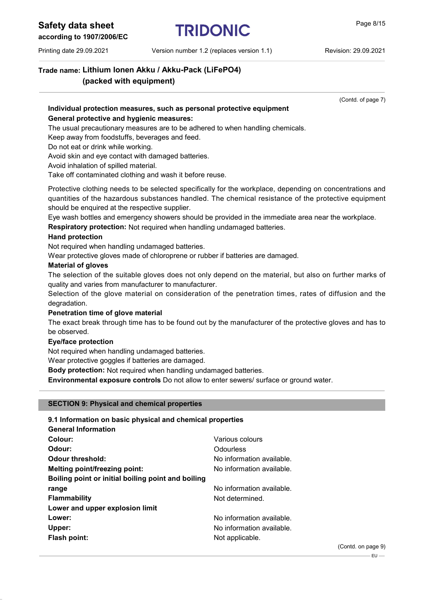# Safety data sheet<br>
TRIDONIC<br>
Page 8/15

### according to 1907/2006/EC

Printing date 29.09.2021 Version number 1.2 (replaces version 1.1) Revision: 29.09.2021

## Trade name: Lithium Ionen Akku / Akku-Pack (LiFePO4) (packed with equipment)

(Contd. of page 7)

### Individual protection measures, such as personal protective equipment General protective and hygienic measures:

The usual precautionary measures are to be adhered to when handling chemicals.

Keep away from foodstuffs, beverages and feed.

Do not eat or drink while working.

Avoid skin and eye contact with damaged batteries.

Avoid inhalation of spilled material.

Take off contaminated clothing and wash it before reuse.

Protective clothing needs to be selected specifically for the workplace, depending on concentrations and quantities of the hazardous substances handled. The chemical resistance of the protective equipment should be enquired at the respective supplier.

Eye wash bottles and emergency showers should be provided in the immediate area near the workplace.

Respiratory protection: Not required when handling undamaged batteries.

### Hand protection

Not required when handling undamaged batteries.

Wear protective gloves made of chloroprene or rubber if batteries are damaged.

### **Material of gloves**

The selection of the suitable gloves does not only depend on the material, but also on further marks of quality and varies from manufacturer to manufacturer.

Selection of the glove material on consideration of the penetration times, rates of diffusion and the degradation.

### Penetration time of glove material

The exact break through time has to be found out by the manufacturer of the protective gloves and has to be observed.

### Eye/face protection

Not required when handling undamaged batteries.

Wear protective goggles if batteries are damaged.

Body protection: Not required when handling undamaged batteries.

Environmental exposure controls Do not allow to enter sewers/ surface or ground water.

### SECTION 9: Physical and chemical properties

| 9.1 Information on basic physical and chemical properties |                           |
|-----------------------------------------------------------|---------------------------|
| <b>General Information</b>                                |                           |
| Colour:                                                   | Various colours           |
| Odour:                                                    | Odourless                 |
| <b>Odour threshold:</b>                                   | No information available. |
| Melting point/freezing point:                             | No information available. |
| Boiling point or initial boiling point and boiling        |                           |
| range                                                     | No information available. |
| <b>Flammability</b>                                       | Not determined.           |
| Lower and upper explosion limit                           |                           |
| Lower:                                                    | No information available. |
| Upper:                                                    | No information available. |
| <b>Flash point:</b>                                       | Not applicable.           |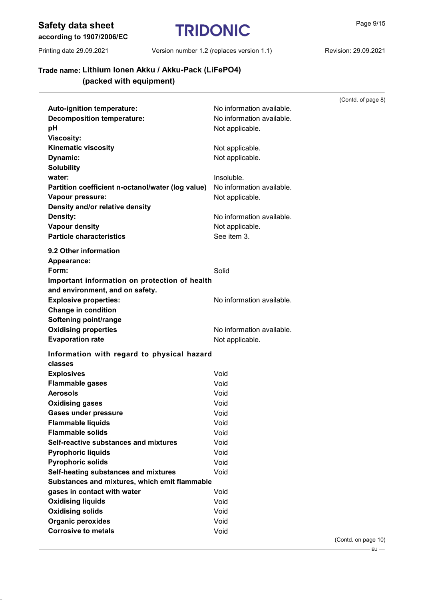Safety data sheet  $TRIDONIC$  Page 9/15

### according to 1907/2006/EC

Printing date 29.09.2021 Version number 1.2 (replaces version 1.1) Revision: 29.09.2021

(Contd. of page 8)

## Trade name: Lithium Ionen Akku / Akku-Pack (LiFePO4) (packed with equipment)

| Auto-ignition temperature:                        | No information available. |
|---------------------------------------------------|---------------------------|
| <b>Decomposition temperature:</b>                 | No information available. |
| рH                                                | Not applicable.           |
| <b>Viscosity:</b>                                 |                           |
| <b>Kinematic viscosity</b>                        | Not applicable.           |
| Dynamic:                                          | Not applicable.           |
| <b>Solubility</b>                                 |                           |
| water:                                            | Insoluble.                |
| Partition coefficient n-octanol/water (log value) | No information available. |
| Vapour pressure:                                  | Not applicable.           |
| Density and/or relative density                   |                           |
| Density:                                          | No information available. |
| <b>Vapour density</b>                             | Not applicable.           |
| <b>Particle characteristics</b>                   | See item 3.               |
|                                                   |                           |
| 9.2 Other information                             |                           |
| Appearance:                                       |                           |
| Form:                                             | Solid                     |
| Important information on protection of health     |                           |
| and environment, and on safety.                   |                           |
| <b>Explosive properties:</b>                      | No information available. |
| <b>Change in condition</b>                        |                           |
| Softening point/range                             |                           |
| <b>Oxidising properties</b>                       | No information available. |
| <b>Evaporation rate</b>                           | Not applicable.           |
| Information with regard to physical hazard        |                           |
| classes                                           |                           |
| <b>Explosives</b>                                 | Void                      |
| <b>Flammable gases</b>                            | Void                      |
| <b>Aerosols</b>                                   | Void                      |
| <b>Oxidising gases</b>                            | Void                      |
| <b>Gases under pressure</b>                       | Void                      |
| <b>Flammable liquids</b>                          | Void                      |
| <b>Flammable solids</b>                           | Void                      |
| Self-reactive substances and mixtures             | Void                      |
| <b>Pyrophoric liquids</b>                         | Void                      |
| <b>Pyrophoric solids</b>                          | Void                      |
| Self-heating substances and mixtures              | Void                      |
| Substances and mixtures, which emit flammable     |                           |
| gases in contact with water                       | Void                      |
| <b>Oxidising liquids</b>                          | Void                      |
| <b>Oxidising solids</b>                           | Void                      |
| <b>Organic peroxides</b>                          | Void                      |
| <b>Corrosive to metals</b>                        | Void                      |
|                                                   |                           |

(Contd. on page 10)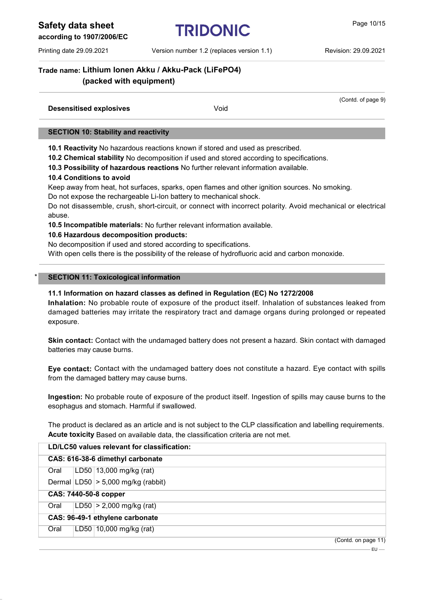Safety data sheet TRIDONIC **Page 10/15** 

according to 1907/2006/EC

Printing date 29.09.2021 Version number 1.2 (replaces version 1.1) Revision: 29.09.2021

(Contd. of page 9)

### Trade name: Lithium Ionen Akku / Akku-Pack (LiFePO4) (packed with equipment)

| <b>Desensitised explosives</b> | Void |  |
|--------------------------------|------|--|
|                                |      |  |

### SECTION 10: Stability and reactivity

10.1 Reactivity No hazardous reactions known if stored and used as prescribed.

10.2 Chemical stability No decomposition if used and stored according to specifications.

10.3 Possibility of hazardous reactions No further relevant information available.

### 10.4 Conditions to avoid

Keep away from heat, hot surfaces, sparks, open flames and other ignition sources. No smoking.

Do not expose the rechargeable Li-Ion battery to mechanical shock.

Do not disassemble, crush, short-circuit, or connect with incorrect polarity. Avoid mechanical or electrical abuse.

10.5 Incompatible materials: No further relevant information available.

### 10.6 Hazardous decomposition products:

No decomposition if used and stored according to specifications.

With open cells there is the possibility of the release of hydrofluoric acid and carbon monoxide.

### **SECTION 11: Toxicological information**

### 11.1 Information on hazard classes as defined in Regulation (EC) No 1272/2008

Inhalation: No probable route of exposure of the product itself. Inhalation of substances leaked from damaged batteries may irritate the respiratory tract and damage organs during prolonged or repeated exposure.

Skin contact: Contact with the undamaged battery does not present a hazard. Skin contact with damaged batteries may cause burns.

Eye contact: Contact with the undamaged battery does not constitute a hazard. Eye contact with spills from the damaged battery may cause burns.

Ingestion: No probable route of exposure of the product itself. Ingestion of spills may cause burns to the esophagus and stomach. Harmful if swallowed.

The product is declared as an article and is not subject to the CLP classification and labelling requirements. Acute toxicity Based on available data, the classification criteria are not met.

| LD/LC50 values relevant for classification: |  |                                        |  |
|---------------------------------------------|--|----------------------------------------|--|
| CAS: 616-38-6 dimethyl carbonate            |  |                                        |  |
| Oral                                        |  | LD50 $ 13,000 \text{ mg/kg}$ (rat)     |  |
|                                             |  | Dermal $ LD50  > 5,000$ mg/kg (rabbit) |  |
|                                             |  | CAS: 7440-50-8 copper                  |  |
| Oral                                        |  | $LD50 > 2,000$ mg/kg (rat)             |  |
|                                             |  | CAS: 96-49-1 ethylene carbonate        |  |
| Oral                                        |  | LD50   10,000 mg/kg (rat)              |  |
|                                             |  | (Contd. on page 11)                    |  |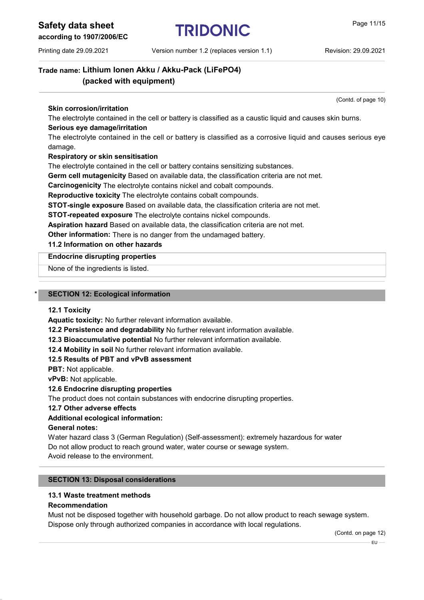Safety data sheet  $TRIDONIC$  Page 11/15

according to 1907/2006/EC

Printing date 29.09.2021 Version number 1.2 (replaces version 1.1) Revision: 29.09.2021

(Contd. of page 10)

Trade name: Lithium Ionen Akku / Akku-Pack (LiFePO4) (packed with equipment)

### Skin corrosion/irritation

The electrolyte contained in the cell or battery is classified as a caustic liquid and causes skin burns. Serious eye damage/irritation

The electrolyte contained in the cell or battery is classified as a corrosive liquid and causes serious eye damage.

### Respiratory or skin sensitisation

The electrolyte contained in the cell or battery contains sensitizing substances.

Germ cell mutagenicity Based on available data, the classification criteria are not met.

Carcinogenicity The electrolyte contains nickel and cobalt compounds.

Reproductive toxicity The electrolyte contains cobalt compounds.

STOT-single exposure Based on available data, the classification criteria are not met.

STOT-repeated exposure The electrolyte contains nickel compounds.

Aspiration hazard Based on available data, the classification criteria are not met.

Other information: There is no danger from the undamaged battery.

### 11.2 Information on other hazards

### Endocrine disrupting properties

None of the ingredients is listed.

### **SECTION 12: Ecological information**

### 12.1 Toxicity

Aquatic toxicity: No further relevant information available.

12.2 Persistence and degradability No further relevant information available.

12.3 Bioaccumulative potential No further relevant information available.

12.4 Mobility in soil No further relevant information available.

### 12.5 Results of PBT and vPvB assessment

PBT: Not applicable.

vPvB: Not applicable.

### 12.6 Endocrine disrupting properties

The product does not contain substances with endocrine disrupting properties.

### 12.7 Other adverse effects

### Additional ecological information:

### General notes:

Water hazard class 3 (German Regulation) (Self-assessment): extremely hazardous for water Do not allow product to reach ground water, water course or sewage system.

Avoid release to the environment.

### SECTION 13: Disposal considerations

### 13.1 Waste treatment methods

### Recommendation

Must not be disposed together with household garbage. Do not allow product to reach sewage system. Dispose only through authorized companies in accordance with local regulations.

(Contd. on page 12)

 $EU -$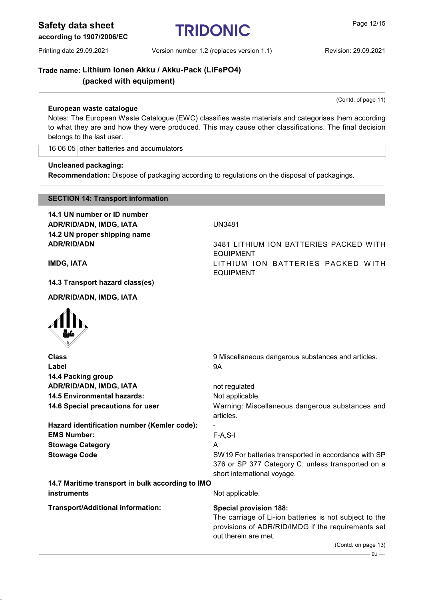Safety data sheet<br>
TRIDONIC<br>
Page 12/15

according to 1907/2006/EC

Printing date 29.09.2021 Version number 1.2 (replaces version 1.1) Revision: 29.09.2021

(Contd. of page 11)

Trade name: Lithium Ionen Akku / Akku-Pack (LiFePO4) (packed with equipment)

### European waste catalogue

Notes: The European Waste Catalogue (EWC) classifies waste materials and categorises them according to what they are and how they were produced. This may cause other classifications. The final decision belongs to the last user.

EQUIPMENT

EQUIPMENT

16 06 05 other batteries and accumulators

### Uncleaned packaging:

Recommendation: Dispose of packaging according to regulations on the disposal of packagings.

### SECTION 14: Transport information

14.1 UN number or ID number ADR/RID/ADN, IMDG, IATA **UN3481** 14.2 UN proper shipping name ADR/RID/ADN 3481 LITHIUM ION BATTERIES PACKED WITH

IMDG, IATA **IMPG, IATA** LITHIUM ION BATTERIES PACKED WITH

14.3 Transport hazard class(es)

ADR/RID/ADN, IMDG, IATA



| <b>Class</b>                                     | 9 Miscellaneous dangerous substances and articles.                         |
|--------------------------------------------------|----------------------------------------------------------------------------|
| Label                                            | 9A                                                                         |
| 14.4 Packing group                               |                                                                            |
| ADR/RID/ADN, IMDG, IATA                          | not regulated                                                              |
| <b>14.5 Environmental hazards:</b>               | Not applicable.                                                            |
| 14.6 Special precautions for user                | Warning: Miscellaneous dangerous substances and<br>articles.               |
| Hazard identification number (Kemler code):      |                                                                            |
| <b>EMS Number:</b>                               | $F-A, S-I$                                                                 |
| <b>Stowage Category</b>                          | A                                                                          |
| <b>Stowage Code</b>                              | SW19 For batteries transported in accordance with SP                       |
|                                                  | 376 or SP 377 Category C, unless transported on a                          |
|                                                  | short international voyage.                                                |
| 14.7 Maritime transport in bulk according to IMO |                                                                            |
| instruments                                      | Not applicable.                                                            |
| <b>Transport/Additional information:</b>         | <b>Special provision 188:</b>                                              |
|                                                  | The carriage of Li-ion batteries is not subject to the                     |
|                                                  | provisions of ADR/RID/IMDG if the requirements set<br>out therein are met. |
|                                                  | (Contd. on page 13)                                                        |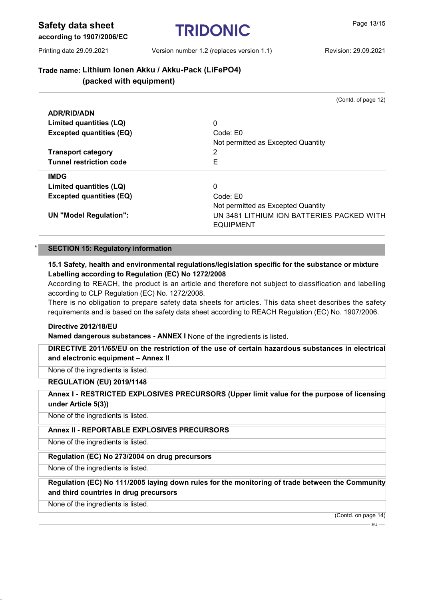Safety data sheet  $TRIDONIC$  Page 13/15

according to 1907/2006/EC

Printing date 29.09.2021 Version number 1.2 (replaces version 1.1) Revision: 29.09.2021

(Contd. of page 12)

### Trade name: Lithium Ionen Akku / Akku-Pack (LiFePO4) (packed with equipment)

ADR/RID/ADN Limited quantities (LQ) 0 Excepted quantities (EQ) Code: E0 Not permitted as Excepted Quantity Transport category 2 Tunnel restriction code **EXECUTE:** EXECUTE: EXECUTE: IMDG Limited quantities (LQ) 0 Excepted quantities (EQ) Code: E0 Not permitted as Excepted Quantity UN "Model Regulation": UN 3481 LITHIUM ION BATTERIES PACKED WITH EQUIPMENT

### **SECTION 15: Regulatory information**

### 15.1 Safety, health and environmental regulations/legislation specific for the substance or mixture Labelling according to Regulation (EC) No 1272/2008

According to REACH, the product is an article and therefore not subject to classification and labelling according to CLP Regulation (EC) No. 1272/2008.

There is no obligation to prepare safety data sheets for articles. This data sheet describes the safety requirements and is based on the safety data sheet according to REACH Regulation (EC) No. 1907/2006.

### Directive 2012/18/EU

Named dangerous substances - ANNEX I None of the ingredients is listed.

DIRECTIVE 2011/65/EU on the restriction of the use of certain hazardous substances in electrical and electronic equipment – Annex II

None of the ingredients is listed.

### REGULATION (EU) 2019/1148

### Annex I - RESTRICTED EXPLOSIVES PRECURSORS (Upper limit value for the purpose of licensing under Article 5(3))

None of the ingredients is listed.

### Annex II - REPORTABLE EXPLOSIVES PRECURSORS

None of the ingredients is listed.

### Regulation (EC) No 273/2004 on drug precursors

None of the ingredients is listed.

### Regulation (EC) No 111/2005 laying down rules for the monitoring of trade between the Community and third countries in drug precursors

None of the ingredients is listed.

(Contd. on page 14)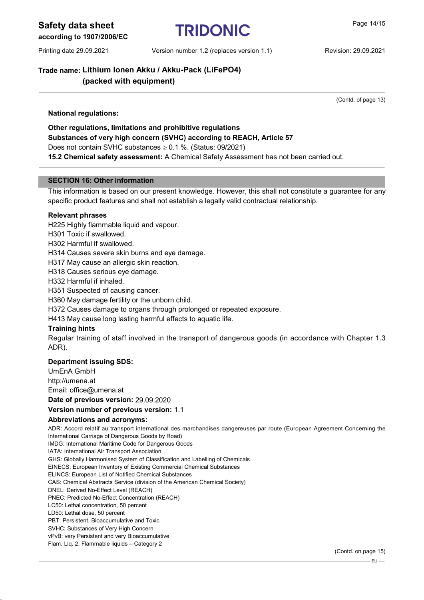## Safety data sheet **TRIDONIC Page 14/15**

### according to 1907/2006/EC

Printing date 29.09.2021 Version number 1.2 (replaces version 1.1) Revision: 29.09.2021

### Trade name: Lithium Ionen Akku / Akku-Pack (LiFePO4) (packed with equipment)

(Contd. of page 13)

### National regulations:

Other regulations, limitations and prohibitive regulations Substances of very high concern (SVHC) according to REACH, Article 57 Does not contain SVHC substances  $\geq$  0.1 %. (Status: 09/2021) 15.2 Chemical safety assessment: A Chemical Safety Assessment has not been carried out.

### SECTION 16: Other information

This information is based on our present knowledge. However, this shall not constitute a guarantee for any specific product features and shall not establish a legally valid contractual relationship.

### Relevant phrases

H225 Highly flammable liquid and vapour.

H301 Toxic if swallowed.

H302 Harmful if swallowed.

H314 Causes severe skin burns and eye damage.

H317 May cause an allergic skin reaction.

H318 Causes serious eye damage.

H332 Harmful if inhaled.

H351 Suspected of causing cancer.

H360 May damage fertility or the unborn child.

H372 Causes damage to organs through prolonged or repeated exposure.

H413 May cause long lasting harmful effects to aquatic life.

### Training hints

Regular training of staff involved in the transport of dangerous goods (in accordance with Chapter 1.3 ADR).

### Department issuing SDS:

UmEnA GmbH

http://umena.at

Email: office@umena.at

Date of previous version: 29.09.2020

### Version number of previous version: 1.1

### Abbreviations and acronyms:

ADR: Accord relatif au transport international des marchandises dangereuses par route (European Agreement Concerning the International Carriage of Dangerous Goods by Road)

IMDG: International Maritime Code for Dangerous Goods

IATA: International Air Transport Association

GHS: Globally Harmonised System of Classification and Labelling of Chemicals

EINECS: European Inventory of Existing Commercial Chemical Substances

ELINCS: European List of Notified Chemical Substances CAS: Chemical Abstracts Service (division of the American Chemical Society)

DNEL: Derived No-Effect Level (REACH)

PNEC: Predicted No-Effect Concentration (REACH)

LC50: Lethal concentration, 50 percent

LD50: Lethal dose, 50 percent

PBT: Persistent, Bioaccumulative and Toxic

SVHC: Substances of Very High Concern

vPvB: very Persistent and very Bioaccumulative

Flam. Liq. 2: Flammable liquids – Category 2